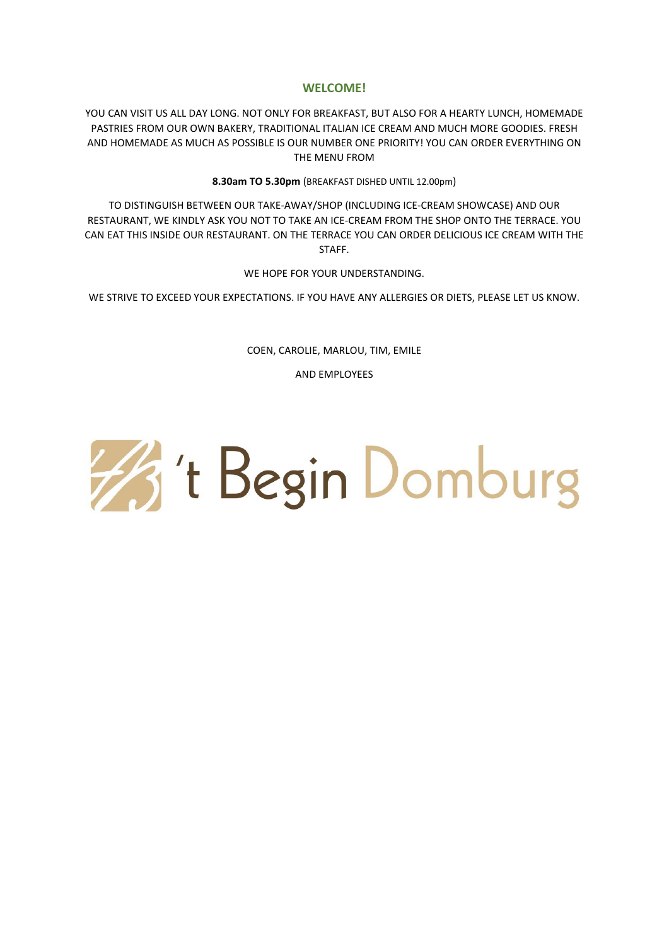# **WELCOME!**

YOU CAN VISIT US ALL DAY LONG. NOT ONLY FOR BREAKFAST, BUT ALSO FOR A HEARTY LUNCH, HOMEMADE PASTRIES FROM OUR OWN BAKERY, TRADITIONAL ITALIAN ICE CREAM AND MUCH MORE GOODIES. FRESH AND HOMEMADE AS MUCH AS POSSIBLE IS OUR NUMBER ONE PRIORITY! YOU CAN ORDER EVERYTHING ON THE MENU FROM

**8.30am TO 5.30pm** (BREAKFAST DISHED UNTIL 12.00pm)

TO DISTINGUISH BETWEEN OUR TAKE-AWAY/SHOP (INCLUDING ICE-CREAM SHOWCASE) AND OUR RESTAURANT, WE KINDLY ASK YOU NOT TO TAKE AN ICE-CREAM FROM THE SHOP ONTO THE TERRACE. YOU CAN EAT THIS INSIDE OUR RESTAURANT. ON THE TERRACE YOU CAN ORDER DELICIOUS ICE CREAM WITH THE STAFF.

WE HOPE FOR YOUR UNDERSTANDING.

WE STRIVE TO EXCEED YOUR EXPECTATIONS. IF YOU HAVE ANY ALLERGIES OR DIETS, PLEASE LET US KNOW.

COEN, CAROLIE, MARLOU, TIM, EMILE

AND EMPLOYEES

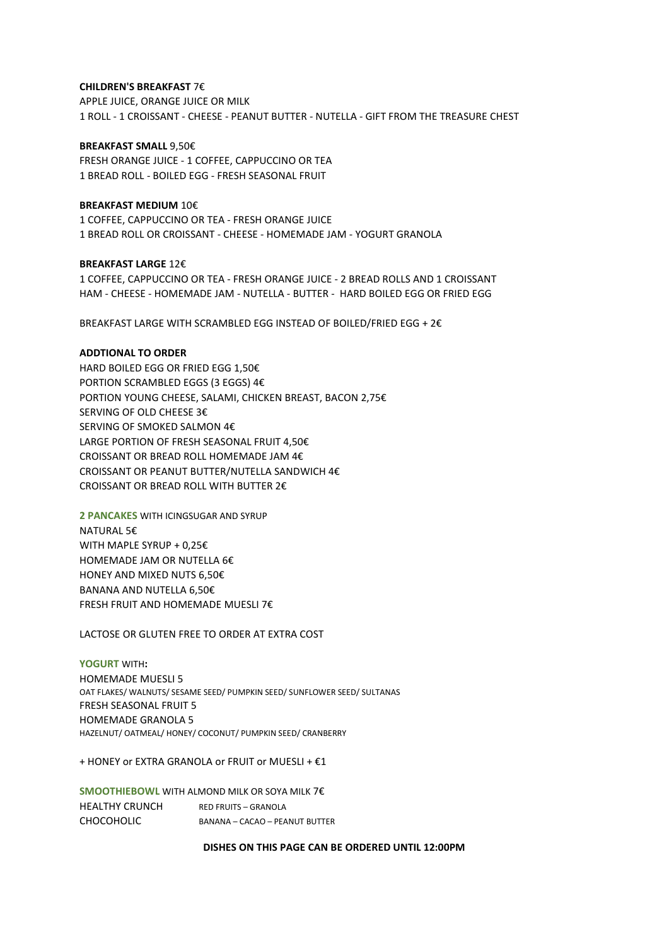# **CHILDREN'S BREAKFAST** 7€

APPLE JUICE, ORANGE JUICE OR MILK 1 ROLL - 1 CROISSANT - CHEESE - PEANUT BUTTER - NUTELLA - GIFT FROM THE TREASURE CHEST

#### **BREAKFAST SMALL** 9,50€

FRESH ORANGE JUICE - 1 COFFEE, CAPPUCCINO OR TEA 1 BREAD ROLL - BOILED EGG - FRESH SEASONAL FRUIT

# **BREAKFAST MEDIUM** 10€

1 COFFEE, CAPPUCCINO OR TEA - FRESH ORANGE JUICE 1 BREAD ROLL OR CROISSANT - CHEESE - HOMEMADE JAM - YOGURT GRANOLA

**BREAKFAST LARGE** 12€ 1 COFFEE, CAPPUCCINO OR TEA - FRESH ORANGE JUICE - 2 BREAD ROLLS AND 1 CROISSANT HAM - CHEESE - HOMEMADE JAM - NUTELLA - BUTTER - HARD BOILED EGG OR FRIED EGG

BREAKFAST LARGE WITH SCRAMBLED EGG INSTEAD OF BOILED/FRIED EGG + 2€

## **ADDTIONAL TO ORDER**

HARD BOILED EGG OR FRIED EGG 1,50€ PORTION SCRAMBLED EGGS (3 EGGS) 4€ PORTION YOUNG CHEESE, SALAMI, CHICKEN BREAST, BACON 2,75€ SERVING OF OLD CHEESE 3€ SERVING OF SMOKED SALMON 4€ LARGE PORTION OF FRESH SEASONAL FRUIT 4,50€ CROISSANT OR BREAD ROLL HOMEMADE JAM 4€ CROISSANT OR PEANUT BUTTER/NUTELLA SANDWICH 4€ CROISSANT OR BREAD ROLL WITH BUTTER 2€

**2 PANCAKES** WITH ICINGSUGAR AND SYRUP NATURAL 5€ WITH MAPLE SYRUP + 0,25€ HOMEMADE JAM OR NUTELLA 6€ HONEY AND MIXED NUTS 6,50€ BANANA AND NUTELLA 6,50€ FRESH FRUIT AND HOMEMADE MUESLI 7€

LACTOSE OR GLUTEN FREE TO ORDER AT EXTRA COST

**YOGURT** WITH**:** HOMEMADE MUESLI 5 OAT FLAKES/ WALNUTS/ SESAME SEED/ PUMPKIN SEED/ SUNFLOWER SEED/ SULTANAS FRESH SEASONAL FRUIT 5 HOMEMADE GRANOLA 5 HAZELNUT/ OATMEAL/ HONEY/ COCONUT/ PUMPKIN SEED/ CRANBERRY

+ HONEY or EXTRA GRANOLA or FRUIT or MUESLI + €1

**SMOOTHIEBOWL** WITH ALMOND MILK OR SOYA MILK 7€ HEALTHY CRUNCH RED FRUITS - GRANOLA CHOCOHOLIC BANANA – CACAO – PEANUT BUTTER

**DISHES ON THIS PAGE CAN BE ORDERED UNTIL 12:00PM**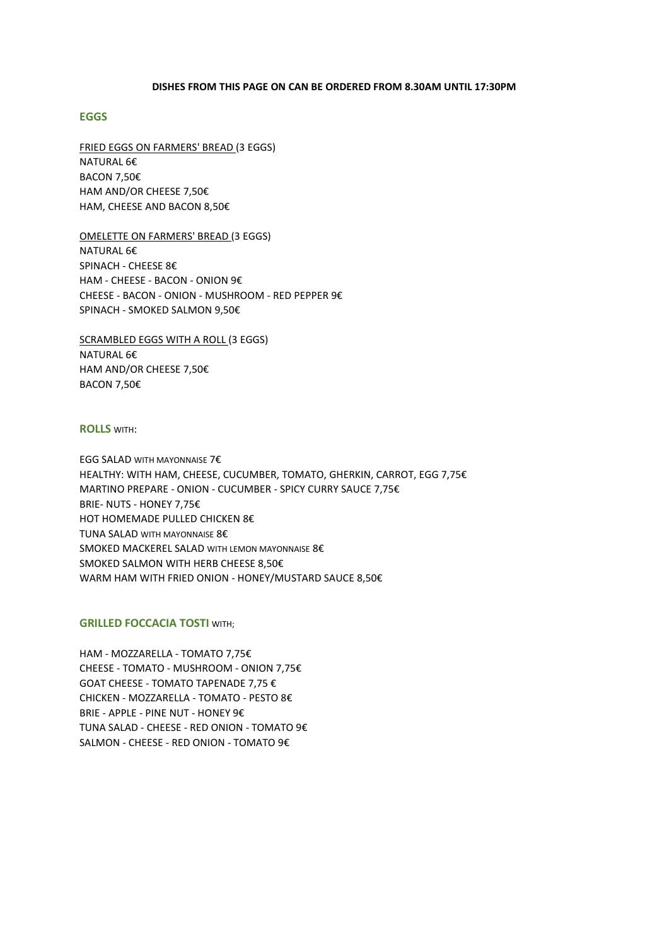### **DISHES FROM THIS PAGE ON CAN BE ORDERED FROM 8.30AM UNTIL 17:30PM**

## **EGGS**

FRIED EGGS ON FARMERS' BREAD (3 EGGS) NATURAL 6€ BACON 7,50€ HAM AND/OR CHEESE 7,50€ HAM, CHEESE AND BACON 8,50€

OMELETTE ON FARMERS' BREAD (3 EGGS) NATURAL 6€ SPINACH - CHEESE 8€ HAM - CHEESE - BACON - ONION 9€ CHEESE - BACON - ONION - MUSHROOM - RED PEPPER 9€ SPINACH - SMOKED SALMON 9,50€

SCRAMBLED EGGS WITH A ROLL (3 EGGS) NATURAL 6€ HAM AND/OR CHEESE 7,50€ BACON 7,50€

### **ROLLS** WITH:

EGG SALAD WITH MAYONNAISE 7€ HEALTHY: WITH HAM, CHEESE, CUCUMBER, TOMATO, GHERKIN, CARROT, EGG 7,75€ MARTINO PREPARE - ONION - CUCUMBER - SPICY CURRY SAUCE 7,75€ BRIE- NUTS - HONEY 7,75€ HOT HOMEMADE PULLED CHICKEN 8€ TUNA SALAD WITH MAYONNAISE 8€ SMOKED MACKEREL SALAD WITH LEMON MAYONNAISE 8€ SMOKED SALMON WITH HERB CHEESE 8,50€ WARM HAM WITH FRIED ONION - HONEY/MUSTARD SAUCE 8,50€

## **GRILLED FOCCACIA TOSTI WITH:**

HAM - MOZZARELLA - TOMATO 7,75€ CHEESE - TOMATO - MUSHROOM - ONION 7,75€ GOAT CHEESE - TOMATO TAPENADE 7,75 € CHICKEN - MOZZARELLA - TOMATO - PESTO 8€ BRIE - APPLE - PINE NUT - HONEY 9€ TUNA SALAD - CHEESE - RED ONION - TOMATO 9€ SALMON - CHEESE - RED ONION - TOMATO 9€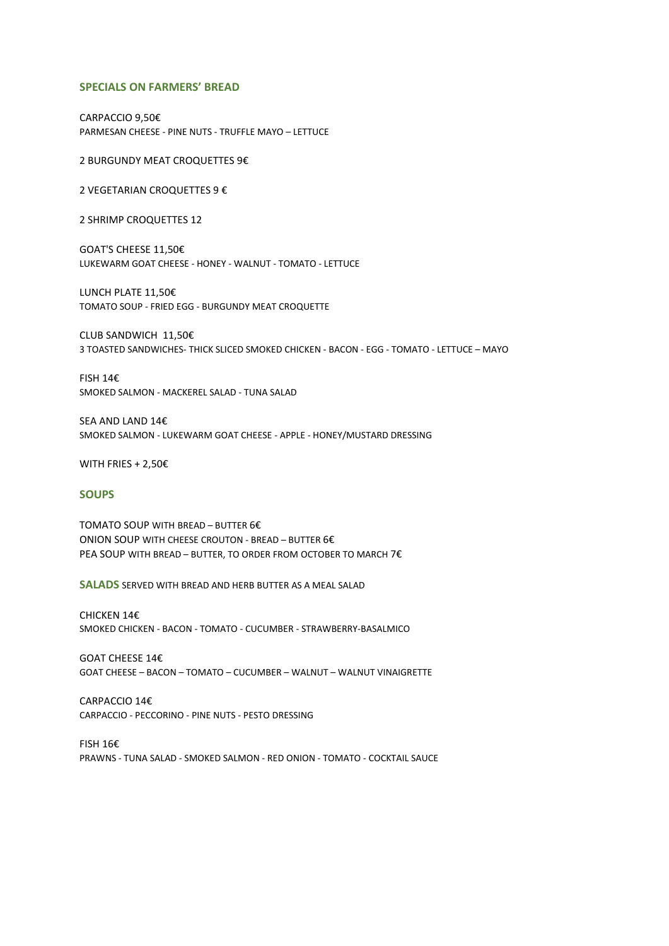#### **SPECIALS ON FARMERS' BREAD**

CARPACCIO 9,50€ PARMESAN CHEESE - PINE NUTS - TRUFFLE MAYO – LETTUCE

2 BURGUNDY MEAT CROQUETTES 9€

2 VEGETARIAN CROQUETTES 9 €

2 SHRIMP CROQUETTES 12

GOAT'S CHEESE 11,50€ LUKEWARM GOAT CHEESE - HONEY - WALNUT - TOMATO - LETTUCE

LUNCH PLATE 11,50€ TOMATO SOUP - FRIED EGG - BURGUNDY MEAT CROQUETTE

CLUB SANDWICH 11,50€ 3 TOASTED SANDWICHES- THICK SLICED SMOKED CHICKEN - BACON - EGG - TOMATO - LETTUCE – MAYO

FISH 14€ SMOKED SALMON - MACKEREL SALAD - TUNA SALAD

SEA AND LAND 14€ SMOKED SALMON - LUKEWARM GOAT CHEESE - APPLE - HONEY/MUSTARD DRESSING

WITH FRIES + 2,50€

#### **SOUPS**

TOMATO SOUP WITH BREAD – BUTTER 6€ ONION SOUP WITH CHEESE CROUTON - BREAD – BUTTER 6€ PEA SOUP WITH BREAD – BUTTER, TO ORDER FROM OCTOBER TO MARCH 7€

**SALADS** SERVED WITH BREAD AND HERB BUTTER AS A MEAL SALAD

CHICKEN 14€ SMOKED CHICKEN - BACON - TOMATO - CUCUMBER - STRAWBERRY-BASALMICO

GOAT CHEESE 14€ GOAT CHEESE – BACON – TOMATO – CUCUMBER – WALNUT – WALNUT VINAIGRETTE

CARPACCIO 14€ CARPACCIO - PECCORINO - PINE NUTS - PESTO DRESSING

FISH 16€ PRAWNS - TUNA SALAD - SMOKED SALMON - RED ONION - TOMATO - COCKTAIL SAUCE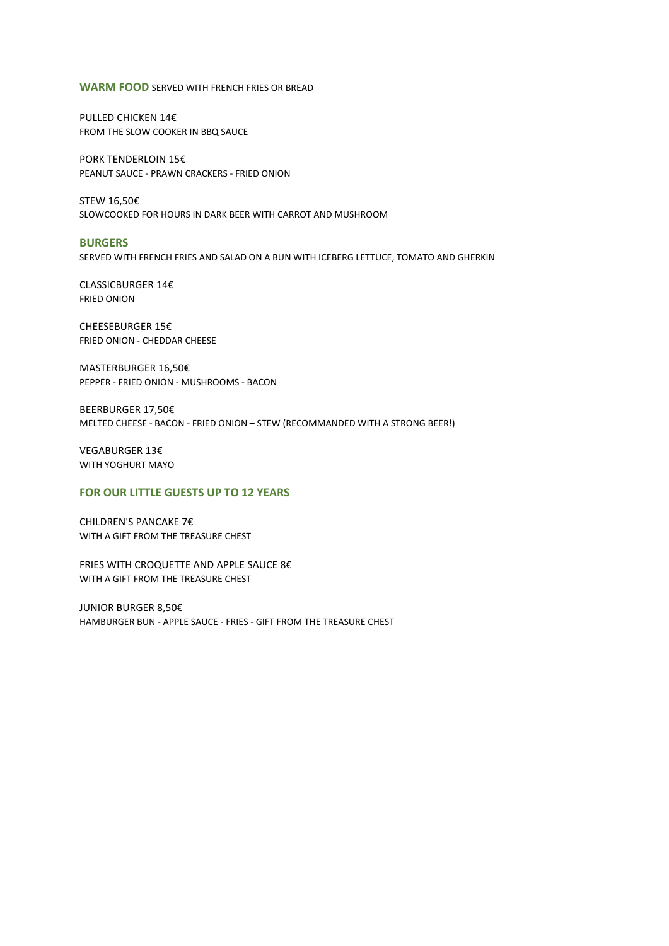#### **WARM FOOD** SERVED WITH FRENCH FRIES OR BREAD

PULLED CHICKEN 14€ FROM THE SLOW COOKER IN BBQ SAUCE

PORK TENDERLOIN 15€ PEANUT SAUCE - PRAWN CRACKERS - FRIED ONION

STEW 16,50€ SLOWCOOKED FOR HOURS IN DARK BEER WITH CARROT AND MUSHROOM

### **BURGERS**

SERVED WITH FRENCH FRIES AND SALAD ON A BUN WITH ICEBERG LETTUCE, TOMATO AND GHERKIN

CLASSICBURGER 14€ FRIED ONION

CHEESEBURGER 15€ FRIED ONION - CHEDDAR CHEESE

MASTERBURGER 16,50€ PEPPER - FRIED ONION - MUSHROOMS - BACON

BEERBURGER 17,50€ MELTED CHEESE - BACON - FRIED ONION – STEW (RECOMMANDED WITH A STRONG BEER!)

VEGABURGER 13€ WITH YOGHURT MAYO

# **FOR OUR LITTLE GUESTS UP TO 12 YEARS**

CHILDREN'S PANCAKE 7€ WITH A GIFT FROM THE TREASURE CHEST

FRIES WITH CROQUETTE AND APPLE SAUCE 8€ WITH A GIFT FROM THE TREASURE CHEST

JUNIOR BURGER 8,50€ HAMBURGER BUN - APPLE SAUCE - FRIES - GIFT FROM THE TREASURE CHEST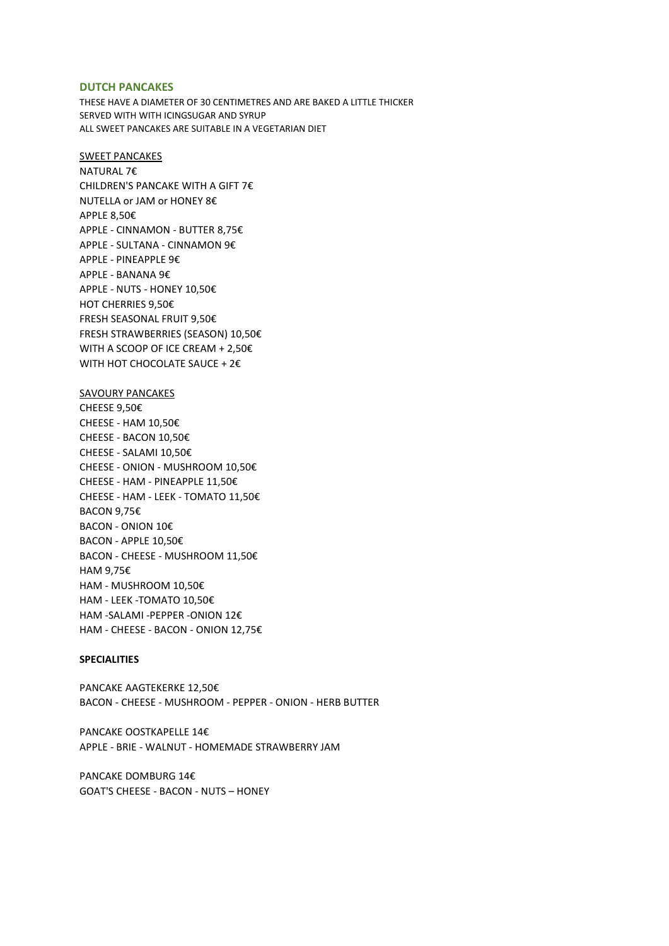#### **DUTCH PANCAKES**

THESE HAVE A DIAMETER OF 30 CENTIMETRES AND ARE BAKED A LITTLE THICKER SERVED WITH WITH ICINGSUGAR AND SYRUP ALL SWEET PANCAKES ARE SUITABLE IN A VEGETARIAN DIET

SWEET PANCAKES NATURAL 7€ CHILDREN'S PANCAKE WITH A GIFT 7€ NUTELLA or JAM or HONEY 8€ APPLE 8,50€ APPLE - CINNAMON - BUTTER 8,75€ APPLE - SULTANA - CINNAMON 9€ APPLE - PINEAPPLE 9€ APPLE - BANANA 9€ APPLE - NUTS - HONEY 10,50€ HOT CHERRIES 9,50€ FRESH SEASONAL FRUIT 9,50€ FRESH STRAWBERRIES (SEASON) 10,50€ WITH A SCOOP OF ICE CREAM + 2,50€ WITH HOT CHOCOLATE SAUCE + 2€

## SAVOURY PANCAKES

CHEESE 9,50€ CHEESE - HAM 10,50€ CHEESE - BACON 10,50€ CHEESE - SALAMI 10,50€ CHEESE - ONION - MUSHROOM 10,50€ CHEESE - HAM - PINEAPPLE 11,50€ CHEESE - HAM - LEEK - TOMATO 11,50€ BACON 9,75€ BACON - ONION 10€ BACON - APPLE 10,50€ BACON - CHEESE - MUSHROOM 11,50€ HAM 9,75€ HAM - MUSHROOM 10,50€ HAM - LEEK -TOMATO 10,50€ HAM -SALAMI -PEPPER -ONION 12€ HAM - CHEESE - BACON - ONION 12,75€

## **SPECIALITIES**

PANCAKE AAGTEKERKE 12,50€ BACON - CHEESE - MUSHROOM - PEPPER - ONION - HERB BUTTER

PANCAKE OOSTKAPELLE 14€ APPLE - BRIE - WALNUT - HOMEMADE STRAWBERRY JAM

PANCAKE DOMBURG 14€ GOAT'S CHEESE - BACON - NUTS – HONEY